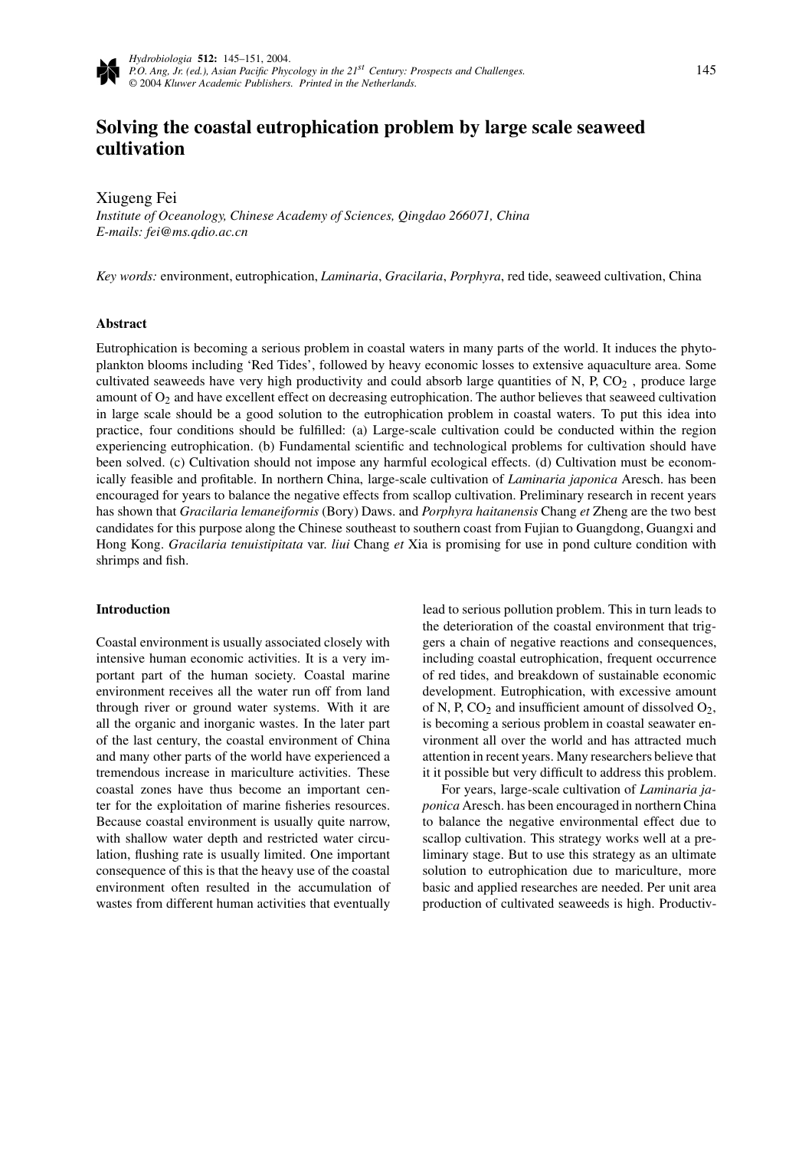

# **Solving the coastal eutrophication problem by large scale seaweed cultivation**

Xiugeng Fei

*Institute of Oceanology, Chinese Academy of Sciences, Qingdao 266071, China E-mails: fei@ms.qdio.ac.cn*

*Key words:* environment, eutrophication, *Laminaria*, *Gracilaria*, *Porphyra*, red tide, seaweed cultivation, China

### **Abstract**

Eutrophication is becoming a serious problem in coastal waters in many parts of the world. It induces the phytoplankton blooms including 'Red Tides', followed by heavy economic losses to extensive aquaculture area. Some cultivated seaweeds have very high productivity and could absorb large quantities of N,  $P, CO<sub>2</sub>$ , produce large amount of  $O_2$  and have excellent effect on decreasing eutrophication. The author believes that seaweed cultivation in large scale should be a good solution to the eutrophication problem in coastal waters. To put this idea into practice, four conditions should be fulfilled: (a) Large-scale cultivation could be conducted within the region experiencing eutrophication. (b) Fundamental scientific and technological problems for cultivation should have been solved. (c) Cultivation should not impose any harmful ecological effects. (d) Cultivation must be economically feasible and profitable. In northern China, large-scale cultivation of *Laminaria japonica* Aresch. has been encouraged for years to balance the negative effects from scallop cultivation. Preliminary research in recent years has shown that *Gracilaria lemaneiformis* (Bory) Daws. and *Porphyra haitanensis* Chang *et* Zheng are the two best candidates for this purpose along the Chinese southeast to southern coast from Fujian to Guangdong, Guangxi and Hong Kong. *Gracilaria tenuistipitata* var. *liui* Chang *et* Xia is promising for use in pond culture condition with shrimps and fish.

#### **Introduction**

Coastal environment is usually associated closely with intensive human economic activities. It is a very important part of the human society. Coastal marine environment receives all the water run off from land through river or ground water systems. With it are all the organic and inorganic wastes. In the later part of the last century, the coastal environment of China and many other parts of the world have experienced a tremendous increase in mariculture activities. These coastal zones have thus become an important center for the exploitation of marine fisheries resources. Because coastal environment is usually quite narrow, with shallow water depth and restricted water circulation, flushing rate is usually limited. One important consequence of this is that the heavy use of the coastal environment often resulted in the accumulation of wastes from different human activities that eventually

lead to serious pollution problem. This in turn leads to the deterioration of the coastal environment that triggers a chain of negative reactions and consequences, including coastal eutrophication, frequent occurrence of red tides, and breakdown of sustainable economic development. Eutrophication, with excessive amount of N, P,  $CO<sub>2</sub>$  and insufficient amount of dissolved  $O<sub>2</sub>$ , is becoming a serious problem in coastal seawater environment all over the world and has attracted much attention in recent years. Many researchers believe that it it possible but very difficult to address this problem.

For years, large-scale cultivation of *Laminaria japonica* Aresch. has been encouraged in northern China to balance the negative environmental effect due to scallop cultivation. This strategy works well at a preliminary stage. But to use this strategy as an ultimate solution to eutrophication due to mariculture, more basic and applied researches are needed. Per unit area production of cultivated seaweeds is high. Productiv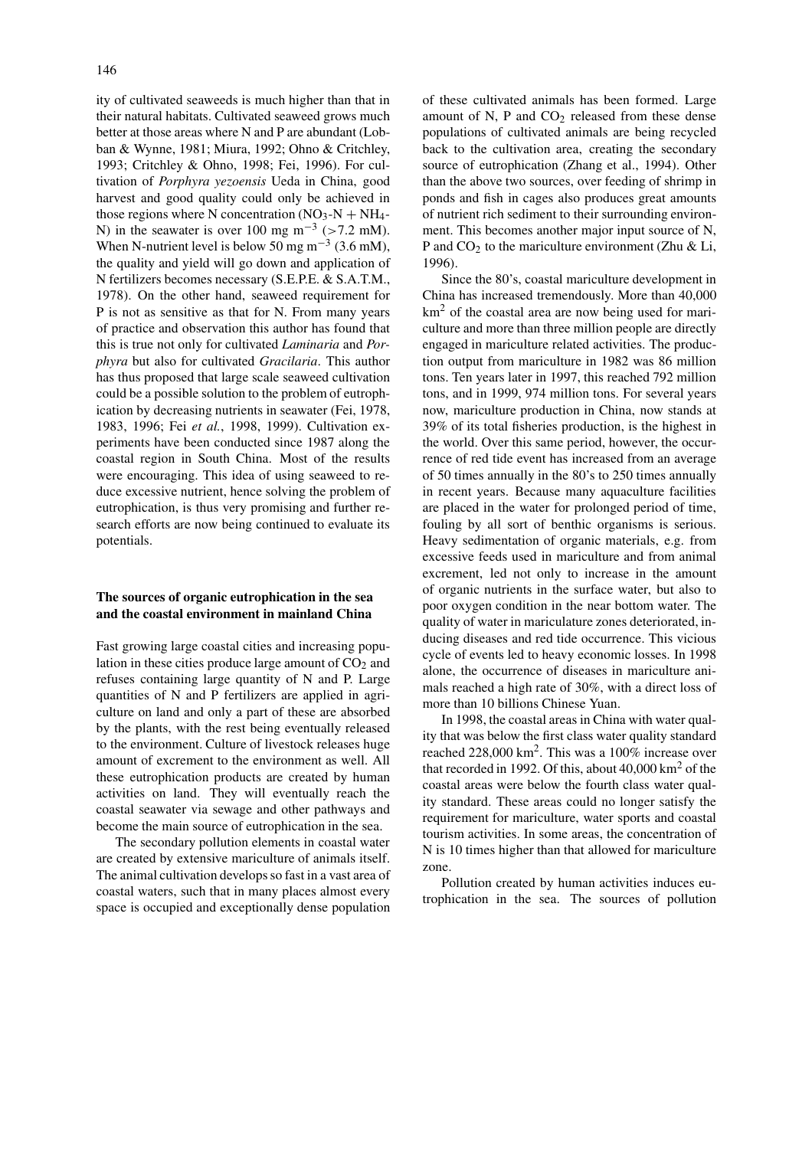ity of cultivated seaweeds is much higher than that in their natural habitats. Cultivated seaweed grows much better at those areas where N and P are abundant (Lobban & Wynne, 1981; Miura, 1992; Ohno & Critchley, 1993; Critchley & Ohno, 1998; Fei, 1996). For cultivation of *Porphyra yezoensis* Ueda in China, good harvest and good quality could only be achieved in those regions where N concentration  $(NO<sub>3</sub>-N + NH<sub>4</sub>-$ N) in the seawater is over 100 mg m−<sup>3</sup> (*>*7.2 mM). When N-nutrient level is below 50 mg m<sup>-3</sup> (3.6 mM), the quality and yield will go down and application of N fertilizers becomes necessary (S.E.P.E. & S.A.T.M., 1978). On the other hand, seaweed requirement for P is not as sensitive as that for N. From many years of practice and observation this author has found that this is true not only for cultivated *Laminaria* and *Porphyra* but also for cultivated *Gracilaria*. This author has thus proposed that large scale seaweed cultivation could be a possible solution to the problem of eutrophication by decreasing nutrients in seawater (Fei, 1978, 1983, 1996; Fei *et al.*, 1998, 1999). Cultivation experiments have been conducted since 1987 along the coastal region in South China. Most of the results were encouraging. This idea of using seaweed to reduce excessive nutrient, hence solving the problem of eutrophication, is thus very promising and further research efforts are now being continued to evaluate its potentials.

# **The sources of organic eutrophication in the sea and the coastal environment in mainland China**

Fast growing large coastal cities and increasing population in these cities produce large amount of  $CO<sub>2</sub>$  and refuses containing large quantity of N and P. Large quantities of N and P fertilizers are applied in agriculture on land and only a part of these are absorbed by the plants, with the rest being eventually released to the environment. Culture of livestock releases huge amount of excrement to the environment as well. All these eutrophication products are created by human activities on land. They will eventually reach the coastal seawater via sewage and other pathways and become the main source of eutrophication in the sea.

The secondary pollution elements in coastal water are created by extensive mariculture of animals itself. The animal cultivation develops so fast in a vast area of coastal waters, such that in many places almost every space is occupied and exceptionally dense population of these cultivated animals has been formed. Large amount of N, P and  $CO<sub>2</sub>$  released from these dense populations of cultivated animals are being recycled back to the cultivation area, creating the secondary source of eutrophication (Zhang et al., 1994). Other than the above two sources, over feeding of shrimp in ponds and fish in cages also produces great amounts of nutrient rich sediment to their surrounding environment. This becomes another major input source of N, P and  $CO<sub>2</sub>$  to the mariculture environment (Zhu & Li, 1996).

Since the 80's, coastal mariculture development in China has increased tremendously. More than 40,000  $km<sup>2</sup>$  of the coastal area are now being used for mariculture and more than three million people are directly engaged in mariculture related activities. The production output from mariculture in 1982 was 86 million tons. Ten years later in 1997, this reached 792 million tons, and in 1999, 974 million tons. For several years now, mariculture production in China, now stands at 39% of its total fisheries production, is the highest in the world. Over this same period, however, the occurrence of red tide event has increased from an average of 50 times annually in the 80's to 250 times annually in recent years. Because many aquaculture facilities are placed in the water for prolonged period of time, fouling by all sort of benthic organisms is serious. Heavy sedimentation of organic materials, e.g. from excessive feeds used in mariculture and from animal excrement, led not only to increase in the amount of organic nutrients in the surface water, but also to poor oxygen condition in the near bottom water. The quality of water in mariculature zones deteriorated, inducing diseases and red tide occurrence. This vicious cycle of events led to heavy economic losses. In 1998 alone, the occurrence of diseases in mariculture animals reached a high rate of 30%, with a direct loss of more than 10 billions Chinese Yuan.

In 1998, the coastal areas in China with water quality that was below the first class water quality standard reached  $228,000 \text{ km}^2$ . This was a 100% increase over that recorded in 1992. Of this, about  $40,000 \text{ km}^2$  of the coastal areas were below the fourth class water quality standard. These areas could no longer satisfy the requirement for mariculture, water sports and coastal tourism activities. In some areas, the concentration of N is 10 times higher than that allowed for mariculture zone.

Pollution created by human activities induces eutrophication in the sea. The sources of pollution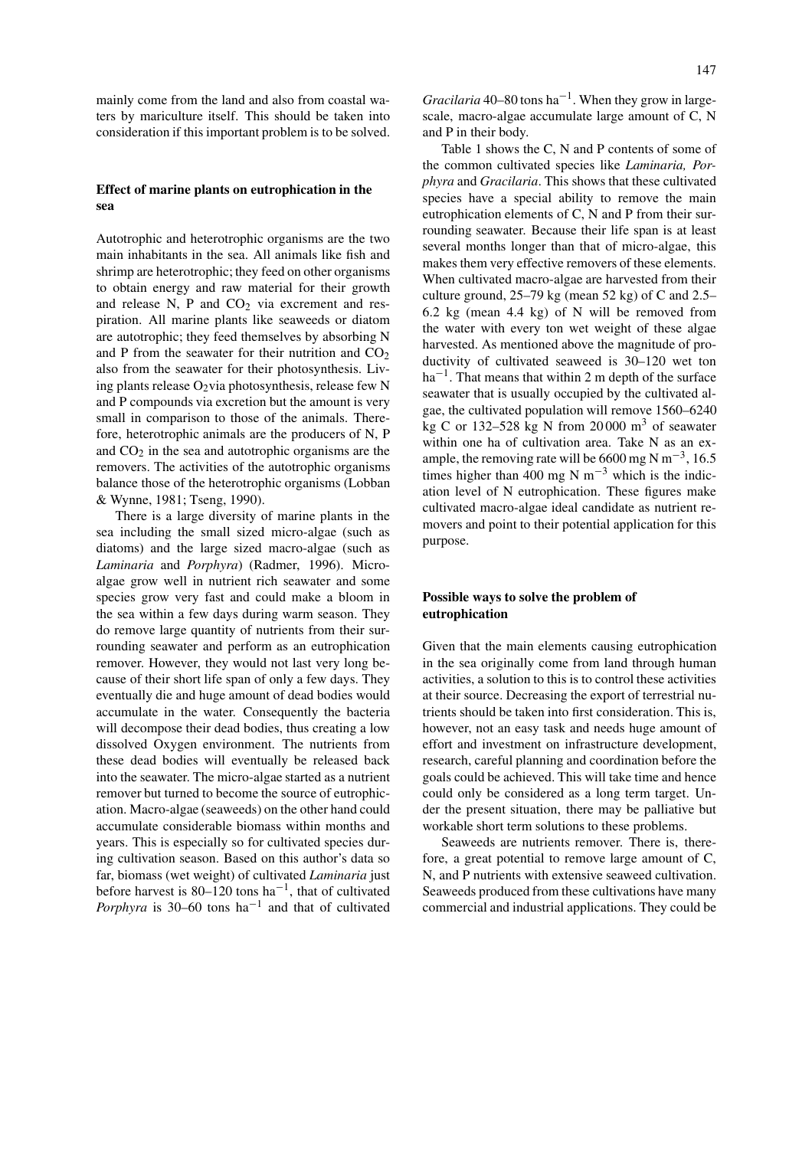mainly come from the land and also from coastal waters by mariculture itself. This should be taken into consideration if this important problem is to be solved.

# **Effect of marine plants on eutrophication in the sea**

Autotrophic and heterotrophic organisms are the two main inhabitants in the sea. All animals like fish and shrimp are heterotrophic; they feed on other organisms to obtain energy and raw material for their growth and release  $N$ , P and  $CO<sub>2</sub>$  via excrement and respiration. All marine plants like seaweeds or diatom are autotrophic; they feed themselves by absorbing N and P from the seawater for their nutrition and  $CO<sub>2</sub>$ also from the seawater for their photosynthesis. Living plants release  $O_2$ via photosynthesis, release few N and P compounds via excretion but the amount is very small in comparison to those of the animals. Therefore, heterotrophic animals are the producers of N, P and  $CO<sub>2</sub>$  in the sea and autotrophic organisms are the removers. The activities of the autotrophic organisms balance those of the heterotrophic organisms (Lobban & Wynne, 1981; Tseng, 1990).

There is a large diversity of marine plants in the sea including the small sized micro-algae (such as diatoms) and the large sized macro-algae (such as *Laminaria* and *Porphyra*) (Radmer, 1996). Microalgae grow well in nutrient rich seawater and some species grow very fast and could make a bloom in the sea within a few days during warm season. They do remove large quantity of nutrients from their surrounding seawater and perform as an eutrophication remover. However, they would not last very long because of their short life span of only a few days. They eventually die and huge amount of dead bodies would accumulate in the water. Consequently the bacteria will decompose their dead bodies, thus creating a low dissolved Oxygen environment. The nutrients from these dead bodies will eventually be released back into the seawater. The micro-algae started as a nutrient remover but turned to become the source of eutrophication. Macro-algae (seaweeds) on the other hand could accumulate considerable biomass within months and years. This is especially so for cultivated species during cultivation season. Based on this author's data so far, biomass (wet weight) of cultivated *Laminaria* just before harvest is 80–120 tons ha<sup>-1</sup>, that of cultivated *Porphyra* is 30–60 tons ha<sup> $-1$ </sup> and that of cultivated *Gracilaria* 40–80 tons ha<sup> $-1$ </sup>. When they grow in largescale, macro-algae accumulate large amount of C, N and P in their body.

Table 1 shows the C, N and P contents of some of the common cultivated species like *Laminaria, Porphyra* and *Gracilaria*. This shows that these cultivated species have a special ability to remove the main eutrophication elements of C, N and P from their surrounding seawater. Because their life span is at least several months longer than that of micro-algae, this makes them very effective removers of these elements. When cultivated macro-algae are harvested from their culture ground,  $25-79$  kg (mean 52 kg) of C and  $2.5-$ 6.2 kg (mean 4.4 kg) of N will be removed from the water with every ton wet weight of these algae harvested. As mentioned above the magnitude of productivity of cultivated seaweed is 30–120 wet ton  $ha^{-1}$ . That means that within 2 m depth of the surface seawater that is usually occupied by the cultivated algae, the cultivated population will remove 1560–6240 kg C or 132–528 kg N from 20000  $m<sup>3</sup>$  of seawater within one ha of cultivation area. Take N as an example, the removing rate will be 6600 mg N m<sup>-3</sup>, 16.5 times higher than 400 mg N  $m^{-3}$  which is the indication level of N eutrophication. These figures make cultivated macro-algae ideal candidate as nutrient removers and point to their potential application for this purpose.

# **Possible ways to solve the problem of eutrophication**

Given that the main elements causing eutrophication in the sea originally come from land through human activities, a solution to this is to control these activities at their source. Decreasing the export of terrestrial nutrients should be taken into first consideration. This is, however, not an easy task and needs huge amount of effort and investment on infrastructure development, research, careful planning and coordination before the goals could be achieved. This will take time and hence could only be considered as a long term target. Under the present situation, there may be palliative but workable short term solutions to these problems.

Seaweeds are nutrients remover. There is, therefore, a great potential to remove large amount of C, N, and P nutrients with extensive seaweed cultivation. Seaweeds produced from these cultivations have many commercial and industrial applications. They could be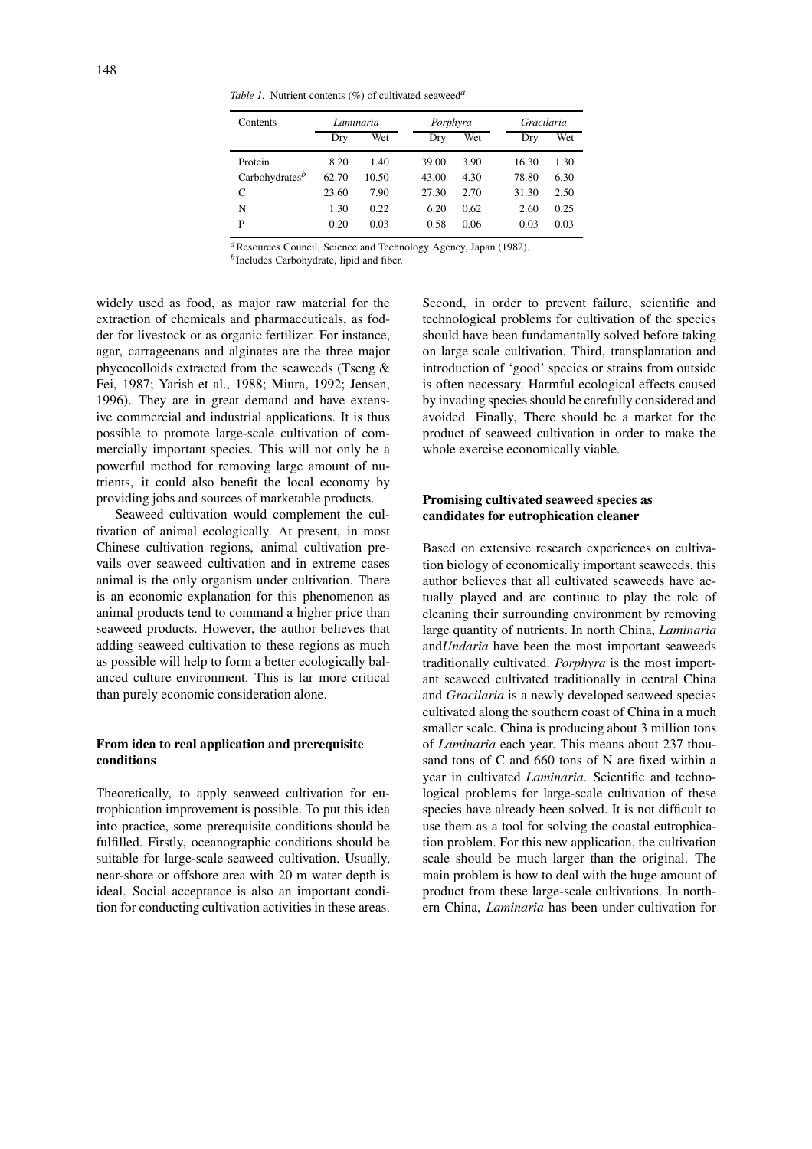*Table 1.* Nutrient contents (%) of cultivated seaweed*<sup>a</sup>*

| Contents          | Laminaria |       |       | Porphyra |       | Gracilaria |  |
|-------------------|-----------|-------|-------|----------|-------|------------|--|
|                   | Dry       | Wet   | Dry   | Wet      | Dry   | Wet        |  |
| Protein           | 8.20      | 1.40  | 39.00 | 3.90     | 16.30 | 1.30       |  |
| Carbohydrates $b$ | 62.70     | 10.50 | 43.00 | 4.30     | 78.80 | 6.30       |  |
| C                 | 23.60     | 7.90  | 27.30 | 2.70     | 31.30 | 2.50       |  |
| N                 | 1.30      | 0.22  | 6.20  | 0.62     | 2.60  | 0.25       |  |
| P                 | 0.20      | 0.03  | 0.58  | 0.06     | 0.03  | 0.03       |  |

*<sup>a</sup>*Resources Council, Science and Technology Agency, Japan (1982).

*<sup>b</sup>*Includes Carbohydrate, lipid and fiber.

widely used as food, as major raw material for the extraction of chemicals and pharmaceuticals, as fodder for livestock or as organic fertilizer. For instance, agar, carrageenans and alginates are the three major phycocolloids extracted from the seaweeds (Tseng & Fei, 1987; Yarish et al., 1988; Miura, 1992; Jensen, 1996). They are in great demand and have extensive commercial and industrial applications. It is thus possible to promote large-scale cultivation of commercially important species. This will not only be a powerful method for removing large amount of nutrients, it could also benefit the local economy by providing jobs and sources of marketable products.

Seaweed cultivation would complement the cultivation of animal ecologically. At present, in most Chinese cultivation regions, animal cultivation prevails over seaweed cultivation and in extreme cases animal is the only organism under cultivation. There is an economic explanation for this phenomenon as animal products tend to command a higher price than seaweed products. However, the author believes that adding seaweed cultivation to these regions as much as possible will help to form a better ecologically balanced culture environment. This is far more critical than purely economic consideration alone.

# **From idea to real application and prerequisite conditions**

Theoretically, to apply seaweed cultivation for eutrophication improvement is possible. To put this idea into practice, some prerequisite conditions should be fulfilled. Firstly, oceanographic conditions should be suitable for large-scale seaweed cultivation. Usually, near-shore or offshore area with 20 m water depth is ideal. Social acceptance is also an important condition for conducting cultivation activities in these areas.

Second, in order to prevent failure, scientific and technological problems for cultivation of the species should have been fundamentally solved before taking on large scale cultivation. Third, transplantation and introduction of 'good' species or strains from outside is often necessary. Harmful ecological effects caused by invading species should be carefully considered and avoided. Finally, There should be a market for the product of seaweed cultivation in order to make the whole exercise economically viable.

# **Promising cultivated seaweed species as candidates for eutrophication cleaner**

Based on extensive research experiences on cultivation biology of economically important seaweeds, this author believes that all cultivated seaweeds have actually played and are continue to play the role of cleaning their surrounding environment by removing large quantity of nutrients. In north China, *Laminaria* and*Undaria* have been the most important seaweeds traditionally cultivated. *Porphyra* is the most important seaweed cultivated traditionally in central China and *Gracilaria* is a newly developed seaweed species cultivated along the southern coast of China in a much smaller scale. China is producing about 3 million tons of *Laminaria* each year. This means about 237 thousand tons of C and 660 tons of N are fixed within a year in cultivated *Laminaria*. Scientific and technological problems for large-scale cultivation of these species have already been solved. It is not difficult to use them as a tool for solving the coastal eutrophication problem. For this new application, the cultivation scale should be much larger than the original. The main problem is how to deal with the huge amount of product from these large-scale cultivations. In northern China, *Laminaria* has been under cultivation for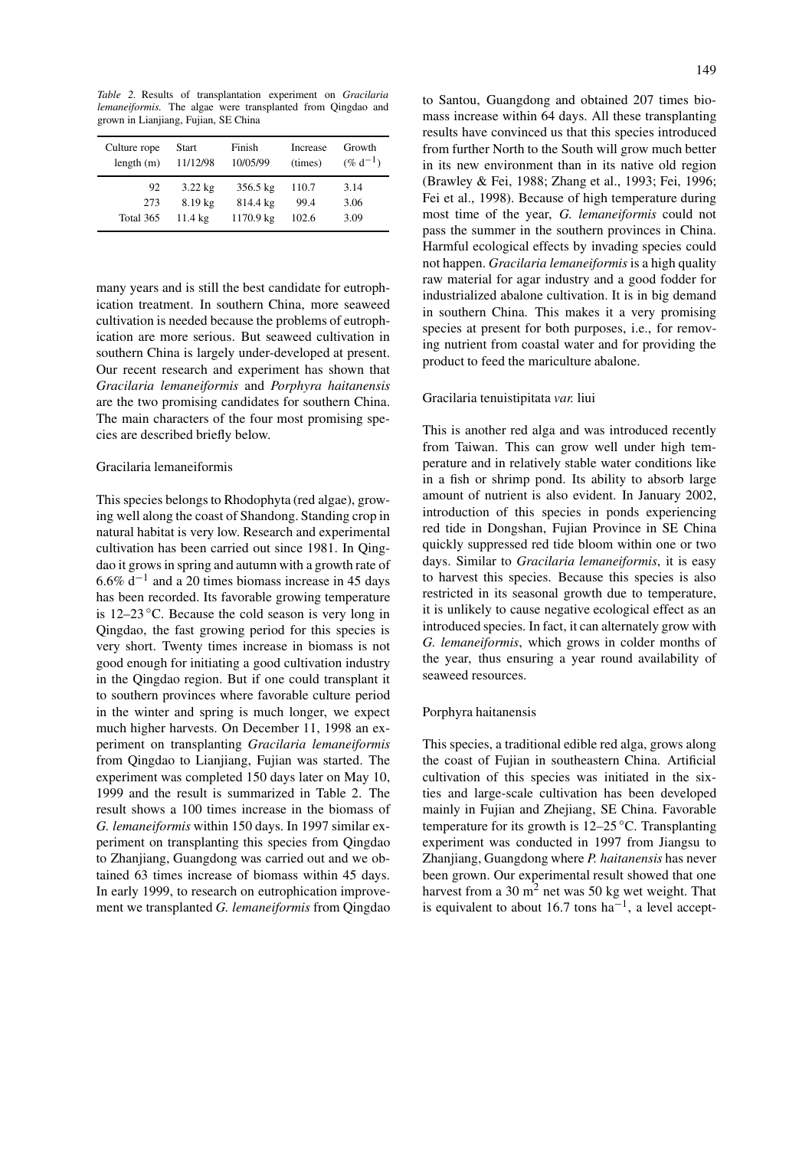*Table 2.* Results of transplantation experiment on *Gracilaria lemaneiformis.* The algae were transplanted from Qingdao and grown in Lianjiang, Fujian, SE China

| Culture rope<br>length(m) | <b>Start</b><br>11/12/98 | Finish<br>10/05/99 | <b>Increase</b><br>(times) | Growth<br>$(\% d^{-1})$ |
|---------------------------|--------------------------|--------------------|----------------------------|-------------------------|
| 92                        | $3.22 \text{ kg}$        | $356.5 \text{ kg}$ | 110.7                      | 3.14                    |
| 273                       | $8.19 \text{ kg}$        | 814.4 kg           | 99.4                       | 3.06                    |
| Total 365                 | 11.4 kg                  | 1170.9 kg          | 102.6                      | 3.09                    |

many years and is still the best candidate for eutrophication treatment. In southern China, more seaweed cultivation is needed because the problems of eutrophication are more serious. But seaweed cultivation in southern China is largely under-developed at present. Our recent research and experiment has shown that *Gracilaria lemaneiformis* and *Porphyra haitanensis* are the two promising candidates for southern China. The main characters of the four most promising species are described briefly below.

#### Gracilaria lemaneiformis

This species belongs to Rhodophyta (red algae), growing well along the coast of Shandong. Standing crop in natural habitat is very low. Research and experimental cultivation has been carried out since 1981. In Qingdao it grows in spring and autumn with a growth rate of 6.6% d<sup>-1</sup> and a 20 times biomass increase in 45 days has been recorded. Its favorable growing temperature is 12–23 ◦C. Because the cold season is very long in Qingdao, the fast growing period for this species is very short. Twenty times increase in biomass is not good enough for initiating a good cultivation industry in the Qingdao region. But if one could transplant it to southern provinces where favorable culture period in the winter and spring is much longer, we expect much higher harvests. On December 11, 1998 an experiment on transplanting *Gracilaria lemaneiformis* from Qingdao to Lianjiang, Fujian was started. The experiment was completed 150 days later on May 10, 1999 and the result is summarized in Table 2. The result shows a 100 times increase in the biomass of *G. lemaneiformis* within 150 days. In 1997 similar experiment on transplanting this species from Qingdao to Zhanjiang, Guangdong was carried out and we obtained 63 times increase of biomass within 45 days. In early 1999, to research on eutrophication improvement we transplanted *G. lemaneiformis* from Qingdao

to Santou, Guangdong and obtained 207 times biomass increase within 64 days. All these transplanting results have convinced us that this species introduced from further North to the South will grow much better in its new environment than in its native old region (Brawley & Fei, 1988; Zhang et al., 1993; Fei, 1996; Fei et al., 1998). Because of high temperature during most time of the year, *G. lemaneiformis* could not pass the summer in the southern provinces in China. Harmful ecological effects by invading species could not happen. *Gracilaria lemaneiformis* is a high quality raw material for agar industry and a good fodder for industrialized abalone cultivation. It is in big demand in southern China. This makes it a very promising species at present for both purposes, i.e., for removing nutrient from coastal water and for providing the product to feed the mariculture abalone.

### Gracilaria tenuistipitata *var.* liui

This is another red alga and was introduced recently from Taiwan. This can grow well under high temperature and in relatively stable water conditions like in a fish or shrimp pond. Its ability to absorb large amount of nutrient is also evident. In January 2002, introduction of this species in ponds experiencing red tide in Dongshan, Fujian Province in SE China quickly suppressed red tide bloom within one or two days. Similar to *Gracilaria lemaneiformis*, it is easy to harvest this species. Because this species is also restricted in its seasonal growth due to temperature, it is unlikely to cause negative ecological effect as an introduced species. In fact, it can alternately grow with *G. lemaneiformis*, which grows in colder months of the year, thus ensuring a year round availability of seaweed resources.

### Porphyra haitanensis

This species, a traditional edible red alga, grows along the coast of Fujian in southeastern China. Artificial cultivation of this species was initiated in the sixties and large-scale cultivation has been developed mainly in Fujian and Zhejiang, SE China. Favorable temperature for its growth is  $12-25$  °C. Transplanting experiment was conducted in 1997 from Jiangsu to Zhanjiang, Guangdong where *P. haitanensis* has never been grown. Our experimental result showed that one harvest from a 30  $m<sup>2</sup>$  net was 50 kg wet weight. That is equivalent to about 16.7 tons  $ha^{-1}$ , a level accept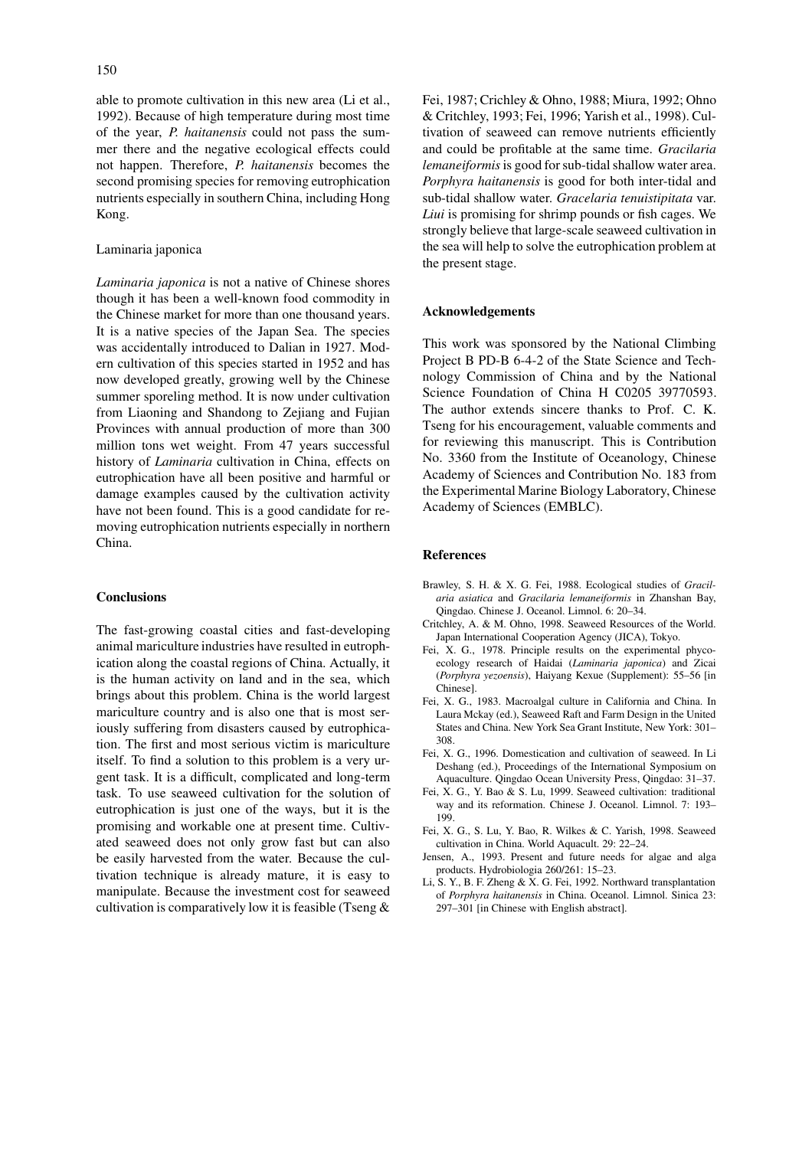able to promote cultivation in this new area (Li et al., 1992). Because of high temperature during most time of the year, *P. haitanensis* could not pass the summer there and the negative ecological effects could not happen. Therefore, *P. haitanensis* becomes the second promising species for removing eutrophication nutrients especially in southern China, including Hong Kong.

## Laminaria japonica

*Laminaria japonica* is not a native of Chinese shores though it has been a well-known food commodity in the Chinese market for more than one thousand years. It is a native species of the Japan Sea. The species was accidentally introduced to Dalian in 1927. Modern cultivation of this species started in 1952 and has now developed greatly, growing well by the Chinese summer sporeling method. It is now under cultivation from Liaoning and Shandong to Zejiang and Fujian Provinces with annual production of more than 300 million tons wet weight. From 47 years successful history of *Laminaria* cultivation in China, effects on eutrophication have all been positive and harmful or damage examples caused by the cultivation activity have not been found. This is a good candidate for removing eutrophication nutrients especially in northern China.

#### **Conclusions**

The fast-growing coastal cities and fast-developing animal mariculture industries have resulted in eutrophication along the coastal regions of China. Actually, it is the human activity on land and in the sea, which brings about this problem. China is the world largest mariculture country and is also one that is most seriously suffering from disasters caused by eutrophication. The first and most serious victim is mariculture itself. To find a solution to this problem is a very urgent task. It is a difficult, complicated and long-term task. To use seaweed cultivation for the solution of eutrophication is just one of the ways, but it is the promising and workable one at present time. Cultivated seaweed does not only grow fast but can also be easily harvested from the water. Because the cultivation technique is already mature, it is easy to manipulate. Because the investment cost for seaweed cultivation is comparatively low it is feasible (Tseng  $\&$ 

Fei, 1987; Crichley & Ohno, 1988; Miura, 1992; Ohno & Critchley, 1993; Fei, 1996; Yarish et al., 1998). Cultivation of seaweed can remove nutrients efficiently and could be profitable at the same time. *Gracilaria lemaneiformis*is good for sub-tidal shallow water area. *Porphyra haitanensis* is good for both inter-tidal and sub-tidal shallow water. *Gracelaria tenuistipitata* var. *Liui* is promising for shrimp pounds or fish cages. We strongly believe that large-scale seaweed cultivation in the sea will help to solve the eutrophication problem at the present stage.

### **Acknowledgements**

This work was sponsored by the National Climbing Project B PD-B 6-4-2 of the State Science and Technology Commission of China and by the National Science Foundation of China H C0205 39770593. The author extends sincere thanks to Prof. C. K. Tseng for his encouragement, valuable comments and for reviewing this manuscript. This is Contribution No. 3360 from the Institute of Oceanology, Chinese Academy of Sciences and Contribution No. 183 from the Experimental Marine Biology Laboratory, Chinese Academy of Sciences (EMBLC).

#### **References**

- Brawley, S. H. & X. G. Fei, 1988. Ecological studies of *Gracilaria asiatica* and *Gracilaria lemaneiformis* in Zhanshan Bay, Qingdao. Chinese J. Oceanol. Limnol. 6: 20–34.
- Critchley, A. & M. Ohno, 1998. Seaweed Resources of the World. Japan International Cooperation Agency (JICA), Tokyo.
- Fei, X. G., 1978. Principle results on the experimental phycoecology research of Haidai (*Laminaria japonica*) and Zicai (*Porphyra yezoensis*), Haiyang Kexue (Supplement): 55–56 [in Chinese].
- Fei, X. G., 1983. Macroalgal culture in California and China. In Laura Mckay (ed.), Seaweed Raft and Farm Design in the United States and China. New York Sea Grant Institute, New York: 301– 308.
- Fei, X. G., 1996. Domestication and cultivation of seaweed. In Li Deshang (ed.), Proceedings of the International Symposium on Aquaculture. Qingdao Ocean University Press, Qingdao: 31–37.
- Fei, X. G., Y. Bao & S. Lu, 1999. Seaweed cultivation: traditional way and its reformation. Chinese J. Oceanol. Limnol. 7: 193– 199.
- Fei, X. G., S. Lu, Y. Bao, R. Wilkes & C. Yarish, 1998. Seaweed cultivation in China. World Aquacult. 29: 22–24.
- Jensen, A., 1993. Present and future needs for algae and alga products. Hydrobiologia 260/261: 15–23.
- Li, S. Y., B. F. Zheng & X. G. Fei, 1992. Northward transplantation of *Porphyra haitanensis* in China. Oceanol. Limnol. Sinica 23: 297–301 [in Chinese with English abstract].